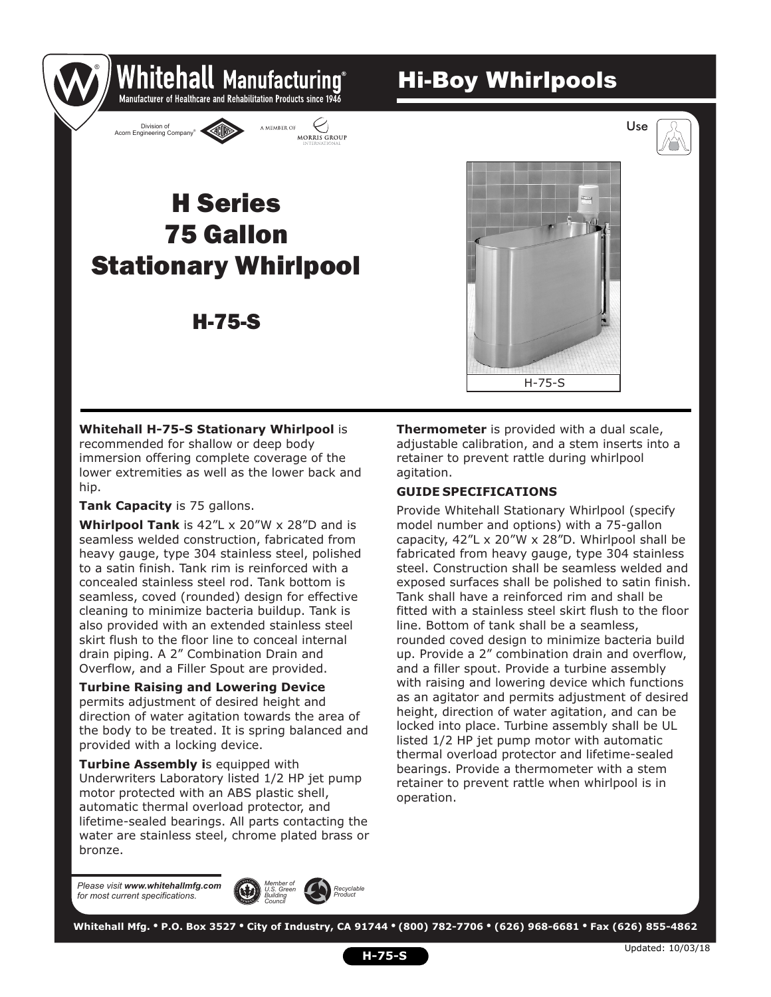# Hi-Boy Whirlpools



# 75 Gallon Stationary Whirlpool H Series

Whitehall Manufacturing Manufacturer of Healthcare and Rehabilitation Products since 1946

MORRIS GROUP

A MEMBER OF

## H-75-S



**Whitehall H-75-S Stationary Whirlpool** is recommended for shallow or deep body immersion offering complete coverage of the lower extremities as well as the lower back and hip.

**Tank Capacity** is 75 gallons.

®

Division of ® Acorn Engineering Company

**Whirlpool Tank** is 42"L x 20"W x 28"D and is seamless welded construction, fabricated from heavy gauge, type 304 stainless steel, polished to a satin finish. Tank rim is reinforced with a concealed stainless steel rod. Tank bottom is seamless, coved (rounded) design for effective cleaning to minimize bacteria buildup. Tank is also provided with an extended stainless steel skirt flush to the floor line to conceal internal drain piping. A 2" Combination Drain and Overflow, and a Filler Spout are provided.

**Turbine Raising and Lowering Device**  permits adjustment of desired height and direction of water agitation towards the area of the body to be treated. It is spring balanced and provided with a locking device.

**Turbine Assembly is equipped with** Underwriters Laboratory listed 1/2 HP jet pump motor protected with an ABS plastic shell, automatic thermal overload protector, and lifetime-sealed bearings. All parts contacting the water are stainless steel, chrome plated brass or bronze.

**Thermometer** is provided with a dual scale, adjustable calibration, and a stem inserts into a retainer to prevent rattle during whirlpool agitation.

### **GUIDE SPECIFICATIONS**

Provide Whitehall Stationary Whirlpool (specify model number and options) with a 75-gallon capacity, 42"L x 20"W x 28"D. Whirlpool shall be fabricated from heavy gauge, type 304 stainless steel. Construction shall be seamless welded and exposed surfaces shall be polished to satin finish. Tank shall have a reinforced rim and shall be fitted with a stainless steel skirt flush to the floor line. Bottom of tank shall be a seamless, rounded coved design to minimize bacteria build up. Provide a 2" combination drain and overflow, and a filler spout. Provide a turbine assembly with raising and lowering device which functions as an agitator and permits adjustment of desired height, direction of water agitation, and can be locked into place. Turbine assembly shall be UL listed 1/2 HP jet pump motor with automatic thermal overload protector and lifetime-sealed bearings. Provide a thermometer with a stem retainer to prevent rattle when whirlpool is in operation.

*Please visit www.whitehallmfg.com for most current specifications.*